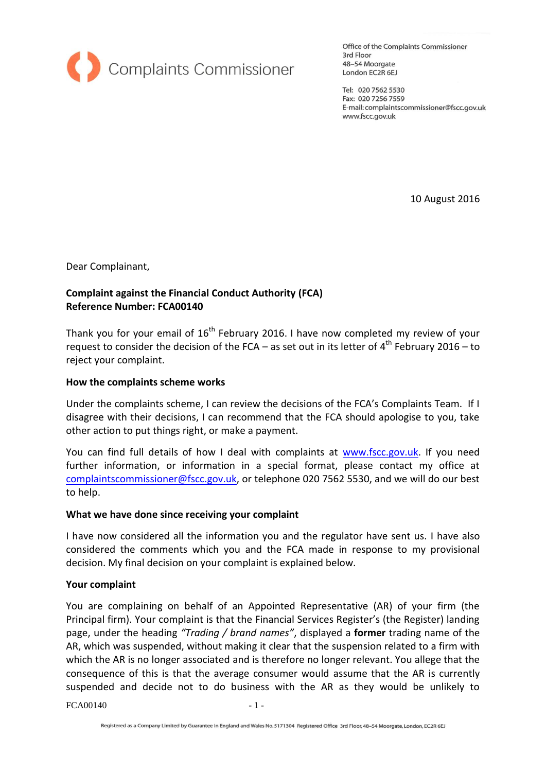

Office of the Complaints Commissioner 3rd Floor 48-54 Moorgate London EC2R 6EJ

Tel: 020 7562 5530 Fax: 020 7256 7559 E-mail: complaintscommissioner@fscc.gov.uk www.fscc.gov.uk

10 August 2016

Dear Complainant,

# **Complaint against the Financial Conduct Authority (FCA) Reference Number: FCA00140**

Thank you for your email of  $16^{\text{th}}$  February 2016. I have now completed my review of your request to consider the decision of the FCA – as set out in its letter of  $4^{\text{th}}$  February 2016 – to reject your complaint.

### **How the complaints scheme works**

Under the complaints scheme, I can review the decisions of the FCA's Complaints Team. If I disagree with their decisions, I can recommend that the FCA should apologise to you, take other action to put things right, or make a payment.

You can find full details of how I deal with complaints at [www.fscc.gov.uk.](http://www.fscc.gov.uk/) If you need further information, or information in a special format, please contact my office at [complaintscommissioner@fscc.gov.uk,](mailto:complaintscommissioner@fscc.gov.uk) or telephone 020 7562 5530, and we will do our best to help.

### **What we have done since receiving your complaint**

I have now considered all the information you and the regulator have sent us. I have also considered the comments which you and the FCA made in response to my provisional decision. My final decision on your complaint is explained below.

### **Your complaint**

You are complaining on behalf of an Appointed Representative (AR) of your firm (the Principal firm). Your complaint is that the Financial Services Register's (the Register) landing page, under the heading *"Trading / brand names"*, displayed a **former** trading name of the AR, which was suspended, without making it clear that the suspension related to a firm with which the AR is no longer associated and is therefore no longer relevant. You allege that the consequence of this is that the average consumer would assume that the AR is currently suspended and decide not to do business with the AR as they would be unlikely to

 $FCA00140 - 1 -$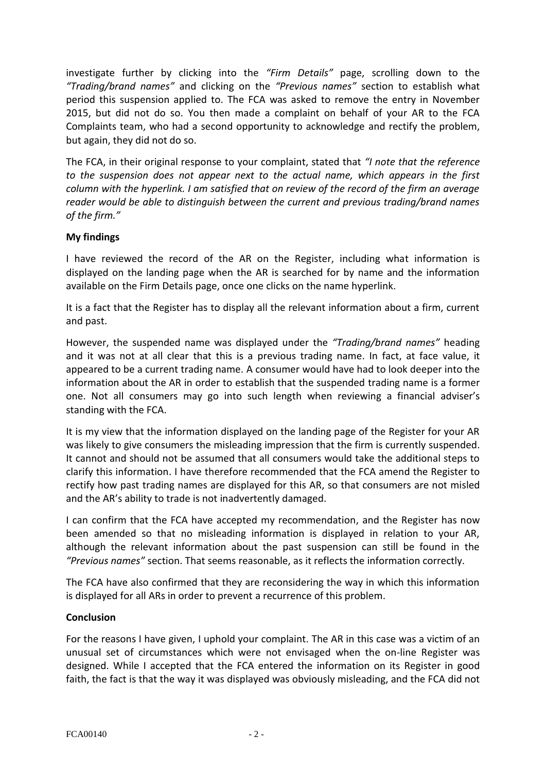investigate further by clicking into the *"Firm Details"* page, scrolling down to the *"Trading/brand names"* and clicking on the *"Previous names"* section to establish what period this suspension applied to. The FCA was asked to remove the entry in November 2015, but did not do so. You then made a complaint on behalf of your AR to the FCA Complaints team, who had a second opportunity to acknowledge and rectify the problem, but again, they did not do so.

The FCA, in their original response to your complaint, stated that *"I note that the reference to the suspension does not appear next to the actual name, which appears in the first column with the hyperlink. I am satisfied that on review of the record of the firm an average reader would be able to distinguish between the current and previous trading/brand names of the firm."*

## **My findings**

I have reviewed the record of the AR on the Register, including what information is displayed on the landing page when the AR is searched for by name and the information available on the Firm Details page, once one clicks on the name hyperlink.

It is a fact that the Register has to display all the relevant information about a firm, current and past.

However, the suspended name was displayed under the *"Trading/brand names"* heading and it was not at all clear that this is a previous trading name. In fact, at face value, it appeared to be a current trading name. A consumer would have had to look deeper into the information about the AR in order to establish that the suspended trading name is a former one. Not all consumers may go into such length when reviewing a financial adviser's standing with the FCA.

It is my view that the information displayed on the landing page of the Register for your AR was likely to give consumers the misleading impression that the firm is currently suspended. It cannot and should not be assumed that all consumers would take the additional steps to clarify this information. I have therefore recommended that the FCA amend the Register to rectify how past trading names are displayed for this AR, so that consumers are not misled and the AR's ability to trade is not inadvertently damaged.

I can confirm that the FCA have accepted my recommendation, and the Register has now been amended so that no misleading information is displayed in relation to your AR, although the relevant information about the past suspension can still be found in the *"Previous names"* section. That seems reasonable, as it reflects the information correctly.

The FCA have also confirmed that they are reconsidering the way in which this information is displayed for all ARs in order to prevent a recurrence of this problem.

### **Conclusion**

For the reasons I have given, I uphold your complaint. The AR in this case was a victim of an unusual set of circumstances which were not envisaged when the on-line Register was designed. While I accepted that the FCA entered the information on its Register in good faith, the fact is that the way it was displayed was obviously misleading, and the FCA did not